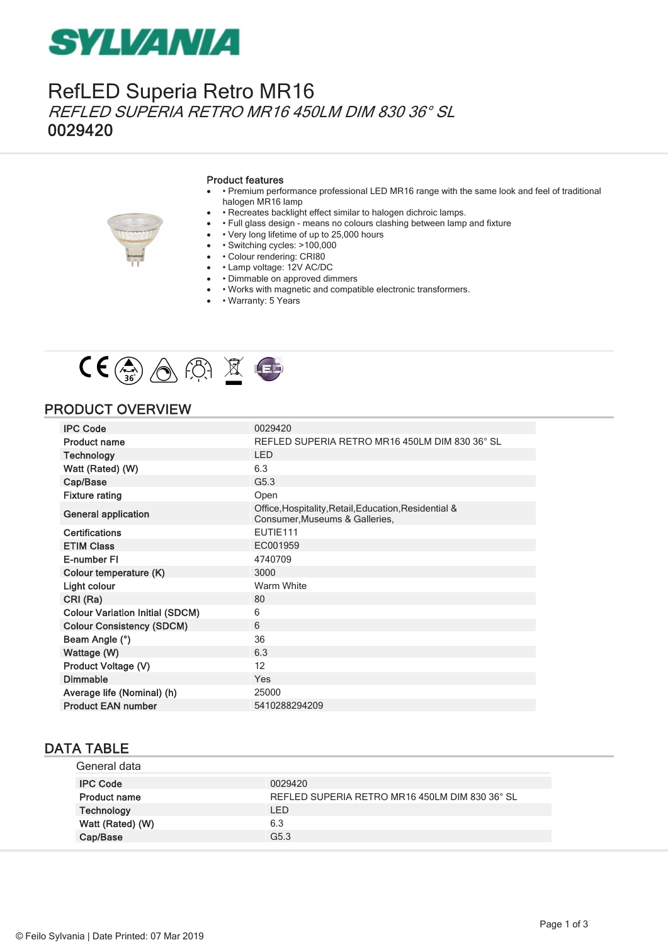## **SYLVANIA**

### RefLED Superia Retro MR16 REFLED SUPERIA RETRO MR16 450LM DIM 830 36° SL 0029420

#### Product features

- · Premium performance professional LED MR16 range with the same look and feel of traditional halogen MR16 lamp
- · Recreates backlight effect similar to halogen dichroic lamps.
- • Full glass design means no colours clashing between lamp and fixture
- • Very long lifetime of up to 25,000 hours
- · Switching cycles: >100,000
- • Colour rendering: CRI80
- • Lamp voltage: 12V AC/DC
- · Dimmable on approved dimmers
- · Works with magnetic and compatible electronic transformers.
- • Warranty: 5 Years



### PRODUCT OVERVIEW

| <b>IPC Code</b>                        | 0029420                                                                                 |
|----------------------------------------|-----------------------------------------------------------------------------------------|
| <b>Product name</b>                    | REFLED SUPERIA RETRO MR16 450LM DIM 830 36° SL                                          |
| <b>Technology</b>                      | <b>LED</b>                                                                              |
| Watt (Rated) (W)                       | 6.3                                                                                     |
| Cap/Base                               | G5.3                                                                                    |
| <b>Fixture rating</b>                  | Open                                                                                    |
| <b>General application</b>             | Office, Hospitality, Retail, Education, Residential &<br>Consumer, Museums & Galleries, |
| <b>Certifications</b>                  | EUTIE111                                                                                |
| <b>ETIM Class</b>                      | EC001959                                                                                |
| E-number FI                            | 4740709                                                                                 |
| Colour temperature (K)                 | 3000                                                                                    |
| Light colour                           | Warm White                                                                              |
| CRI (Ra)                               | 80                                                                                      |
| <b>Colour Variation Initial (SDCM)</b> | 6                                                                                       |
| <b>Colour Consistency (SDCM)</b>       | 6                                                                                       |
| Beam Angle (°)                         | 36                                                                                      |
| Wattage (W)                            | 6.3                                                                                     |
| Product Voltage (V)                    | 12                                                                                      |
| <b>Dimmable</b>                        | Yes                                                                                     |
| Average life (Nominal) (h)             | 25000                                                                                   |
| <b>Product EAN number</b>              | 5410288294209                                                                           |

#### DATA TABLE

| General data        |                                                |
|---------------------|------------------------------------------------|
| <b>IPC Code</b>     | 0029420                                        |
| <b>Product name</b> | REFLED SUPERIA RETRO MR16 450LM DIM 830 36° SL |
| Technology          | <b>LED</b>                                     |
| Watt (Rated) (W)    | 6.3                                            |
| Cap/Base            | G <sub>5.3</sub>                               |
|                     |                                                |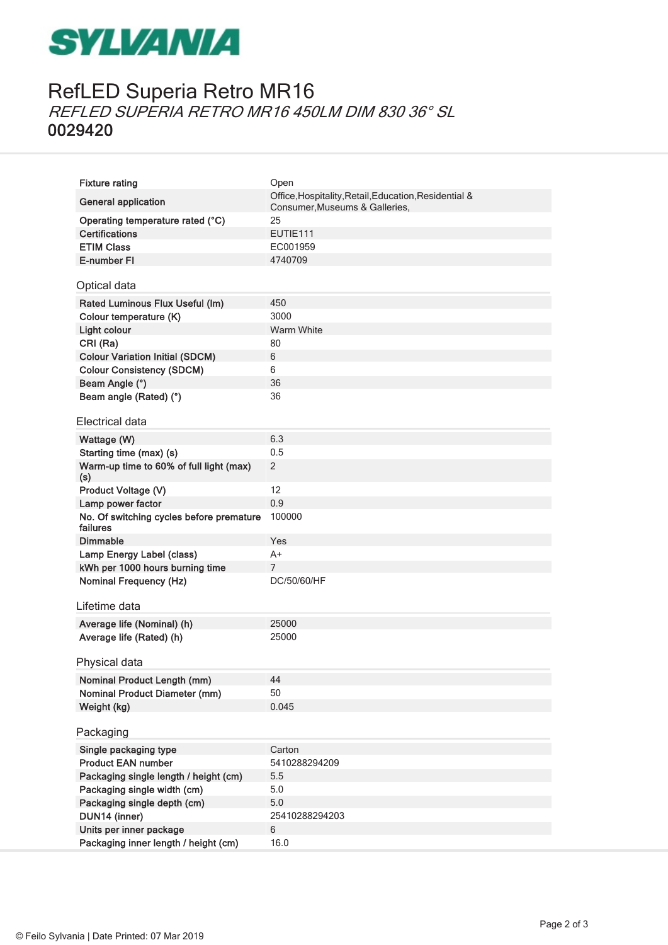## **SYLVANIA**

## RefLED Superia Retro MR16 REFLED SUPERIA RETRO MR16 450LM DIM 830 36° SL 0029420

| <b>Fixture rating</b>                                | Open                                                                                    |
|------------------------------------------------------|-----------------------------------------------------------------------------------------|
| <b>General application</b>                           | Office, Hospitality, Retail, Education, Residential &<br>Consumer, Museums & Galleries, |
| Operating temperature rated (°C)                     | 25                                                                                      |
| <b>Certifications</b>                                | EUTIE111                                                                                |
| <b>ETIM Class</b>                                    | EC001959                                                                                |
| E-number FI                                          | 4740709                                                                                 |
| Optical data                                         |                                                                                         |
| Rated Luminous Flux Useful (Im)                      | 450                                                                                     |
| Colour temperature (K)                               | 3000                                                                                    |
| Light colour                                         | Warm White                                                                              |
| CRI (Ra)                                             | 80                                                                                      |
| <b>Colour Variation Initial (SDCM)</b>               | 6                                                                                       |
| <b>Colour Consistency (SDCM)</b>                     | 6                                                                                       |
| Beam Angle (°)                                       | 36                                                                                      |
| Beam angle (Rated) (°)                               | 36                                                                                      |
| Electrical data                                      |                                                                                         |
| Wattage (W)                                          | 6.3                                                                                     |
| Starting time (max) (s)                              | 0.5                                                                                     |
| Warm-up time to 60% of full light (max)              | 2                                                                                       |
| (s)                                                  |                                                                                         |
| Product Voltage (V)                                  | 12                                                                                      |
| Lamp power factor                                    | 0.9                                                                                     |
| No. Of switching cycles before premature<br>failures | 100000                                                                                  |
| <b>Dimmable</b>                                      | Yes                                                                                     |
| Lamp Energy Label (class)                            | $A+$                                                                                    |
| kWh per 1000 hours burning time                      | $\overline{7}$                                                                          |
| <b>Nominal Frequency (Hz)</b>                        | DC/50/60/HF                                                                             |
| Lifetime data                                        |                                                                                         |
| Average life (Nominal) (h)                           | 25000                                                                                   |
| Average life (Rated) (h)                             | 25000                                                                                   |
|                                                      |                                                                                         |
| Physical data                                        |                                                                                         |
| <b>Nominal Product Length (mm)</b>                   | 44                                                                                      |
| <b>Nominal Product Diameter (mm)</b>                 | 50                                                                                      |
| Weight (kg)                                          | 0.045                                                                                   |
| Packaging                                            |                                                                                         |
| Single packaging type                                | Carton                                                                                  |
| <b>Product EAN number</b>                            | 5410288294209                                                                           |
| Packaging single length / height (cm)                | 5.5                                                                                     |
| Packaging single width (cm)                          | 5.0                                                                                     |
| Packaging single depth (cm)                          | 5.0                                                                                     |
| DUN14 (inner)                                        | 25410288294203                                                                          |
| Units per inner package                              | 6                                                                                       |
| Packaging inner length / height (cm)                 | 16.0                                                                                    |